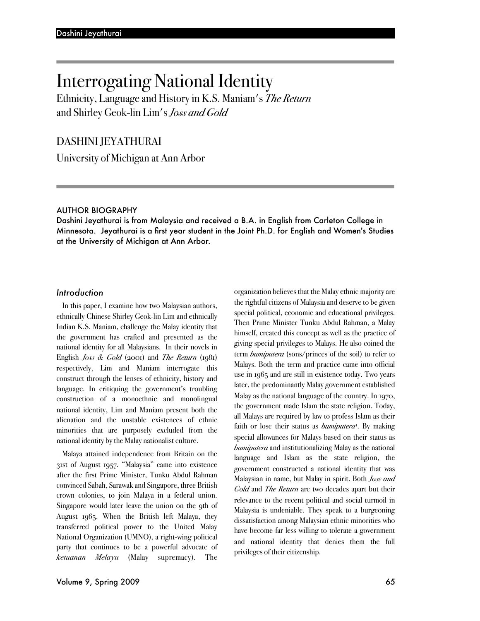# Interrogating National Identity

Ethnicity, Language and History in K.S. Maniam's *The Return* and Shirley Geok-lin Lim's *Joss and Gold*

DASHINI JEYATHURAI

University of Michigan at Ann Arbor

## AUTHOR BIOGRAPHY

Dashini Jeyathurai is from Malaysia and received a B.A. in English from Carleton College in Minnesota. Jeyathurai is a first year student in the Joint Ph.D. for English and Women's Studies at the University of Michigan at Ann Arbor.

## *Introduction*

In this paper, I examine how two Malaysian authors, ethnically Chinese Shirley Geok-lin Lim and ethnically Indian K.S. Maniam, challenge the Malay identity that the government has crafted and presented as the national identity for all Malaysians. In their novels in English *Joss & Gold* (2001) and *The Return* (1981) respectively, Lim and Maniam interrogate this construct through the lenses of ethnicity, history and language. In critiquing the government's troubling construction of a monoethnic and monolingual national identity, Lim and Maniam present both the alienation and the unstable existences of ethnic minorities that are purposely excluded from the national identity by the Malay nationalist culture.

Malaya attained independence from Britain on the 31st of August 1957. "Malaysia" came into existence after the first Prime Minister, Tunku Abdul Rahman convinced Sabah, Sarawak and Singapore, three British crown colonies, to join Malaya in a federal union. Singapore would later leave the union on the 9th of August 1965. When the British left Malaya, they transferred political power to the United Malay National Organization (UMNO), a right-wing political party that continues to be a powerful advocate of *ketuanan Melayu* (Malay supremacy). The

organization believes that the Malay ethnic majority are the rightful citizens of Malaysia and deserve to be given special political, economic and educational privileges. Then Prime Minister Tunku Abdul Rahman, a Malay himself, created this concept as well as the practice of giving special privileges to Malays. He also coined the term *bumiputera* (sons/princes of the soil) to refer to Malays. Both the term and practice came into official use in 1965 and are still in existence today. Two years later, the predominantly Malay government established Malay as the national language of the country. In 1970, the government made Islam the state religion. Today, all Malays are required by law to profess Islam as their faith or lose their status as *bumiputera<sup>1</sup>*. By making special allowances for Malays based on their status as *bumiputera* and institutionalizing Malay as the national language and Islam as the state religion, the government constructed a national identity that was Malaysian in name, but Malay in spirit. Both *Joss and Gold* and *The Return* are two decades apart but their relevance to the recent political and social turmoil in Malaysia is undeniable. They speak to a burgeoning dissatisfaction among Malaysian ethnic minorities who have become far less willing to tolerate a government and national identity that denies them the full privileges of their citizenship.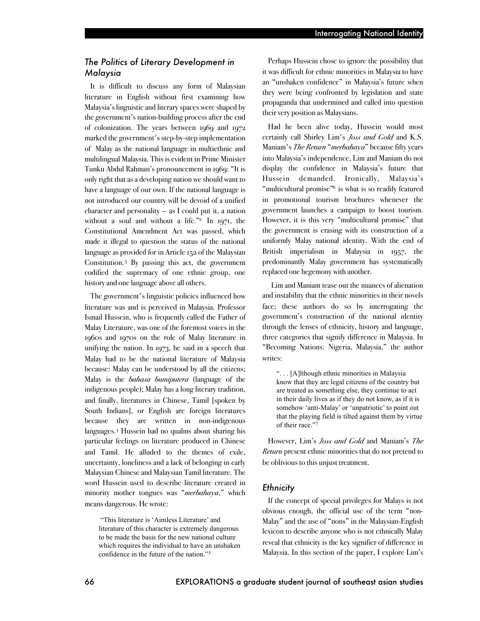# *The Politics of Literary Development in Malaysia*

It is difficult to discuss any form of Malaysian literature in English without first examining how Malaysia's linguistic and literary spaces were shaped by the government's nation-building process after the end of colonization. The years between 1969 and 1972 marked the government's step-by-step implementation of Malay as the national language in multiethnic and multilingual Malaysia. This is evident in Prime Minister Tunku Abdul Rahman's pronouncement in 1969: "It is only right that as a developing nation we should want to have a language of our own. If the national language is not introduced our country will be devoid of a unified character and personality  $-$  as I could put it, a nation without a soul and without a life." $\frac{1}{2}$  In 1971, the Constitutional Amendment Act was passed, which made it illegal to question the status of the national language as provided for in Article 152 of the Malaysian Constitution.3 By passing this act, the government codified the supremacy of one ethnic group, one history and one language above all others.

The government's linguistic policies influenced how literature was and is perceived in Malaysia. Professor Ismail Hussein, who is frequently called the Father of Malay Literature, was one of the foremost voices in the 1960s and 1970s on the role of Malay literature in unifying the nation. In 1973, he said in a speech that Malay had to be the national literature of Malaysia because: Malay can be understood by all the citizens; Malay is the *bahasa bumiputera* (language of the indigenous people); Malay has a long literary tradition, and finally, literatures in Chinese, Tamil [spoken by South Indians], or English are foreign literatures because they are written in non-indigenous languages.4 Hussein had no qualms about sharing his particular feelings on literature produced in Chinese and Tamil. He alluded to the themes of exile, uncertainty, loneliness and a lack of belonging in early Malaysian Chinese and Malaysian Tamil literature. The word Hussein used to describe literature created in minority mother tongues was "*merbahaya*," which means dangerous. He wrote:

 "This literature is 'Aimless Literature' and literature of this character is extremely dangerous to be made the basis for the new national culture which requires the individual to have an unshaken confidence in the future of the nation."5

Perhaps Hussein chose to ignore the possibility that it was difficult for ethnic minorities in Malaysia to have an "unshaken confidence" in Malaysia's future when they were being confronted by legislation and state propaganda that undermined and called into question their very position as Malaysians.

Had he been alive today, Hussein would most certainly call Shirley Lim's *Joss and Gold* and K.S. Maniam's *The Return* "*merbahaya*" because fifty years into Malaysia's independence, Lim and Maniam do not display the confidence in Malaysia's future that Hussein demanded. Ironically, Malaysia's "multicultural promise"<sup>6</sup> is what is so readily featured in promotional tourism brochures whenever the government launches a campaign to boost tourism. However, it is this very "multicultural promise" that the government is erasing with its construction of a uniformly Malay national identity. With the end of British imperialism in Malaysia in 1957, the predominantly Malay government has systematically replaced one hegemony with another.

Lim and Maniam tease out the nuances of alienation and instability that the ethnic minorities in their novels face; these authors do so by interrogating the government's construction of the national identity through the lenses of ethnicity, history and language, three categories that signify difference in Malaysia. In "Becoming Nations: Nigeria, Malaysia," the author writes:

". . . [A]lthough ethnic minorities in Malaysia know that they are legal citizens of the country but are treated as something else, they continue to act in their daily lives as if they do not know, as if it is somehow 'anti-Malay' or 'unpatriotic' to point out that the playing field is tilted against them by virtue of their race."7

However, Lim's *Joss and Gold* and Maniam's *The Return* present ethnic minorities that do not pretend to be oblivious to this unjust treatment.

## *Ethnicity*

If the concept of special privileges for Malays is not obvious enough, the official use of the term "non-Malay" and the use of "nons" in the Malaysian-English lexicon to describe anyone who is not ethnically Malay reveal that ethnicity is the key signifier of difference in Malaysia. In this section of the paper, I explore Lim's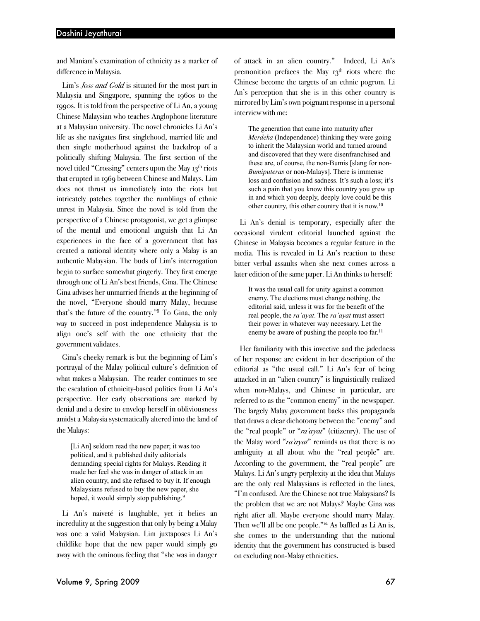and Maniam's examination of ethnicity as a marker of difference in Malaysia.

Lim's *Joss and Gold* is situated for the most part in Malaysia and Singapore, spanning the 1960s to the 1990s. It is told from the perspective of Li An, a young Chinese Malaysian who teaches Anglophone literature at a Malaysian university. The novel chronicles Li An's life as she navigates first singlehood, married life and then single motherhood against the backdrop of a politically shifting Malaysia. The first section of the novel titled "Crossing" centers upon the May 13<sup>th</sup> riots that erupted in 1969 between Chinese and Malays. Lim does not thrust us immediately into the riots but intricately patches together the rumblings of ethnic unrest in Malaysia. Since the novel is told from the perspective of a Chinese protagonist, we get a glimpse of the mental and emotional anguish that Li An experiences in the face of a government that has created a national identity where only a Malay is an authentic Malaysian. The buds of Lim's interrogation begin to surface somewhat gingerly. They first emerge through one of Li An's best friends, Gina. The Chinese Gina advises her unmarried friends at the beginning of the novel, "Everyone should marry Malay, because that's the future of the country."8 To Gina, the only way to succeed in post independence Malaysia is to align one's self with the one ethnicity that the government validates.

Gina's cheeky remark is but the beginning of Lim's portrayal of the Malay political culture's definition of what makes a Malaysian. The reader continues to see the escalation of ethnicity-based politics from Li An's perspective. Her early observations are marked by denial and a desire to envelop herself in obliviousness amidst a Malaysia systematically altered into the land of the Malays:

[Li An] seldom read the new paper; it was too political, and it published daily editorials demanding special rights for Malays. Reading it made her feel she was in danger of attack in an alien country, and she refused to buy it. If enough Malaysians refused to buy the new paper, she hoped, it would simply stop publishing.<sup>9</sup>

Li An's naiveté is laughable, yet it belies an incredulity at the suggestion that only by being a Malay was one a valid Malaysian. Lim juxtaposes Li An's childlike hope that the new paper would simply go away with the ominous feeling that "she was in danger of attack in an alien country." Indeed, Li An's premonition prefaces the May  $13<sup>th</sup>$  riots where the Chinese become the targets of an ethnic pogrom. Li An's perception that she is in this other country is mirrored by Lim's own poignant response in a personal interview with me:

The generation that came into maturity after *Merdeka* (Independence) thinking they were going to inherit the Malaysian world and turned around and discovered that they were disenfranchised and these are, of course, the non-Bumis [slang for non-*Bumiputeras* or non-Malays]. There is immense loss and confusion and sadness. It's such a loss; it's such a pain that you know this country you grew up in and which you deeply, deeply love could be this other country, this other country that it is now. 10

Li An's denial is temporary, especially after the occasional virulent editorial launched against the Chinese in Malaysia becomes a regular feature in the media. This is revealed in Li An's reaction to these bitter verbal assaults when she next comes across a later edition of the same paper. Li An thinks to herself:

It was the usual call for unity against a common enemy. The elections must change nothing, the editorial said, unless it was for the benefit of the real people, the *ra'ayat*. The *ra'ayat* must assert their power in whatever way necessary. Let the enemy be aware of pushing the people too far.<sup>11</sup>

Her familiarity with this invective and the jadedness of her response are evident in her description of the editorial as "the usual call." Li An's fear of being attacked in an "alien country" is linguistically realized when non-Malays, and Chinese in particular, are referred to as the "common enemy" in the newspaper. The largely Malay government backs this propaganda that draws a clear dichotomy between the "enemy" and the "real people" or "*ra'ayat*" (citizenry). The use of the Malay word "*ra'ayat*" reminds us that there is no ambiguity at all about who the "real people" are. According to the government, the "real people" are Malays. Li An's angry perplexity at the idea that Malays are the only real Malaysians is reflected in the lines, "I'm confused. Are the Chinese not true Malaysians? Is the problem that we are not Malays? Maybe Gina was right after all. Maybe everyone should marry Malay. Then we'll all be one people."<sup>12</sup> As baffled as Li An is, she comes to the understanding that the national identity that the government has constructed is based on excluding non-Malay ethnicities.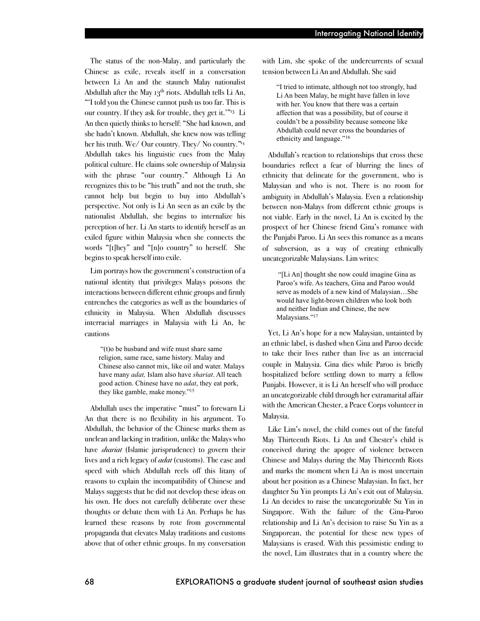The status of the non-Malay, and particularly the Chinese as exile, reveals itself in a conversation between Li An and the staunch Malay nationalist Abdullah after the May  $13<sup>th</sup>$  riots. Abdullah tells Li An, "'I told you the Chinese cannot push us too far. This is our country. If they ask for trouble, they get it.'"13 Li An then quietly thinks to herself: "She had known, and she hadn't known. Abdullah, she knew now was telling her his truth. We/ Our country. They/ No country."14 Abdullah takes his linguistic cues from the Malay political culture. He claims sole ownership of Malaysia with the phrase "our country." Although Li An recognizes this to be "his truth" and not the truth, she cannot help but begin to buy into Abdullah's perspective. Not only is Li An seen as an exile by the nationalist Abdullah, she begins to internalize his perception of her. Li An starts to identify herself as an exiled figure within Malaysia when she connects the words "[t]hey" and "[n]o country" to herself. She begins to speak herself into exile.

Lim portrays how the government's construction of a national identity that privileges Malays poisons the interactions between different ethnic groups and firmly entrenches the categories as well as the boundaries of ethnicity in Malaysia. When Abdullah discusses interracial marriages in Malaysia with Li An, he cautions

 "(t)o be husband and wife must share same religion, same race, same history. Malay and Chinese also cannot mix, like oil and water. Malays have many *adat,* Islam also have *shariat*. All teach good action. Chinese have no *adat*, they eat pork, they like gamble, make money."15

Abdullah uses the imperative "must" to forewarn Li An that there is no flexibility in his argument. To Abdullah, the behavior of the Chinese marks them as unclean and lacking in tradition, unlike the Malays who have *shariat* (Islamic jurisprudence) to govern their lives and a rich legacy of *adat* (customs). The ease and speed with which Abdullah reels off this litany of reasons to explain the incompatibility of Chinese and Malays suggests that he did not develop these ideas on his own. He does not carefully deliberate over these thoughts or debate them with Li An. Perhaps he has learned these reasons by rote from governmental propaganda that elevates Malay traditions and customs above that of other ethnic groups. In my conversation

with Lim, she spoke of the undercurrents of sexual tension between Li An and Abdullah. She said

"I tried to intimate, although not too strongly, had Li An been Malay, he might have fallen in love with her. You know that there was a certain affection that was a possibility, but of course it couldn't be a possibility because someone like Abdullah could never cross the boundaries of ethnicity and language."16

Abdullah's reaction to relationships that cross these boundaries reflect a fear of blurring the lines of ethnicity that delineate for the government, who is Malaysian and who is not. There is no room for ambiguity in Abdullah's Malaysia. Even a relationship between non-Malays from different ethnic groups is not viable. Early in the novel, Li An is excited by the prospect of her Chinese friend Gina's romance with the Punjabi Paroo. Li An sees this romance as a means of subversion, as a way of creating ethnically uncategorizable Malaysians. Lim writes:

 "[Li An] thought she now could imagine Gina as Paroo's wife. As teachers, Gina and Paroo would serve as models of a new kind of Malaysian…She would have light-brown children who look both and neither Indian and Chinese, the new Malaysians."<sup>17</sup>

Yet, Li An's hope for a new Malaysian, untainted by an ethnic label, is dashed when Gina and Paroo decide to take their lives rather than live as an interracial couple in Malaysia. Gina dies while Paroo is briefly hospitalized before settling down to marry a fellow Punjabi. However, it is Li An herself who will produce an uncategorizable child through her extramarital affair with the American Chester, a Peace Corps volunteer in Malaysia.

Like Lim's novel, the child comes out of the fateful May Thirteenth Riots. Li An and Chester's child is conceived during the apogee of violence between Chinese and Malays during the May Thirteenth Riots and marks the moment when Li An is most uncertain about her position as a Chinese Malaysian. In fact, her daughter Su Yin prompts Li An's exit out of Malaysia. Li An decides to raise the uncategorizable Su Yin in Singapore. With the failure of the Gina-Paroo relationship and Li An's decision to raise Su Yin as a Singaporean, the potential for these new types of Malaysians is erased. With this pessimistic ending to the novel, Lim illustrates that in a country where the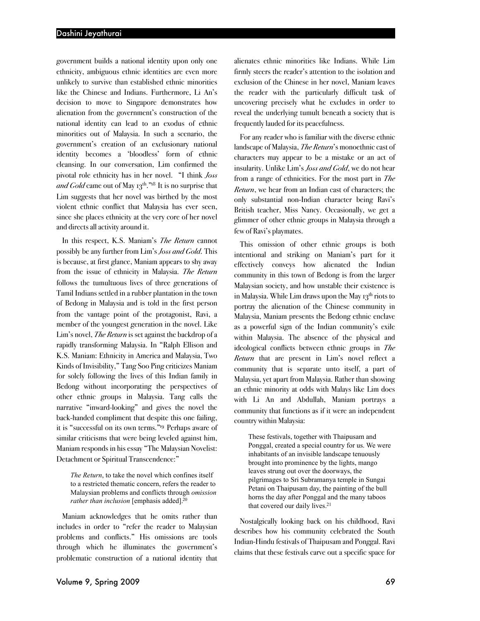government builds a national identity upon only one ethnicity, ambiguous ethnic identities are even more unlikely to survive than established ethnic minorities like the Chinese and Indians. Furthermore, Li An's decision to move to Singapore demonstrates how alienation from the government's construction of the national identity can lead to an exodus of ethnic minorities out of Malaysia. In such a scenario, the government's creation of an exclusionary national identity becomes a 'bloodless' form of ethnic cleansing. In our conversation, Lim confirmed the pivotal role ethnicity has in her novel. "I think *Joss and Gold* came out of May 13<sup>th</sup>."<sup>18</sup> It is no surprise that Lim suggests that her novel was birthed by the most violent ethnic conflict that Malaysia has ever seen, since she places ethnicity at the very core of her novel and directs all activity around it.

In this respect, K.S. Maniam's *The Return* cannot possibly be any further from Lim's *Joss and Gold*. This is because, at first glance, Maniam appears to shy away from the issue of ethnicity in Malaysia. *The Return* follows the tumultuous lives of three generations of Tamil Indians settled in a rubber plantation in the town of Bedong in Malaysia and is told in the first person from the vantage point of the protagonist, Ravi, a member of the youngest generation in the novel. Like Lim's novel, *The Return* is set against the backdrop of a rapidly transforming Malaysia. In "Ralph Ellison and K.S. Maniam: Ethnicity in America and Malaysia, Two Kinds of Invisibility," Tang Soo Ping criticizes Maniam for solely following the lives of this Indian family in Bedong without incorporating the perspectives of other ethnic groups in Malaysia. Tang calls the narrative "inward-looking" and gives the novel the back-handed compliment that despite this one failing, it is "successful on its own terms."19 Perhaps aware of similar criticisms that were being leveled against him, Maniam responds in his essay "The Malaysian Novelist: Detachment or Spiritual Transcendence:"

*The Return*, to take the novel which confines itself to a restricted thematic concern, refers the reader to Malaysian problems and conflicts through *omission rather than inclusion* [emphasis added].<sup>20</sup>

Maniam acknowledges that he omits rather than includes in order to "refer the reader to Malaysian problems and conflicts." His omissions are tools through which he illuminates the government's problematic construction of a national identity that

alienates ethnic minorities like Indians. While Lim firmly steers the reader's attention to the isolation and exclusion of the Chinese in her novel, Maniam leaves the reader with the particularly difficult task of uncovering precisely what he excludes in order to reveal the underlying tumult beneath a society that is frequently lauded for its peacefulness.

For any reader who is familiar with the diverse ethnic landscape of Malaysia, *The Return*'s monoethnic cast of characters may appear to be a mistake or an act of insularity. Unlike Lim's *Joss and Gold*, we do not hear from a range of ethnicities. For the most part in *The Return*, we hear from an Indian cast of characters; the only substantial non-Indian character being Ravi's British teacher, Miss Nancy. Occasionally, we get a glimmer of other ethnic groups in Malaysia through a few of Ravi's playmates.

This omission of other ethnic groups is both intentional and striking on Maniam's part for it effectively conveys how alienated the Indian community in this town of Bedong is from the larger Malaysian society, and how unstable their existence is in Malaysia. While Lim draws upon the May  $13<sup>th</sup>$  riots to portray the alienation of the Chinese community in Malaysia, Maniam presents the Bedong ethnic enclave as a powerful sign of the Indian community's exile within Malaysia. The absence of the physical and ideological conflicts between ethnic groups in *The Return* that are present in Lim's novel reflect a community that is separate unto itself, a part of Malaysia, yet apart from Malaysia. Rather than showing an ethnic minority at odds with Malays like Lim does with Li An and Abdullah, Maniam portrays a community that functions as if it were an independent country within Malaysia:

These festivals, together with Thaipusam and Ponggal, created a special country for us. We were inhabitants of an invisible landscape tenuously brought into prominence by the lights, mango leaves strung out over the doorways, the pilgrimages to Sri Subramanya temple in Sungai Petani on Thaipusam day, the painting of the bull horns the day after Ponggal and the many taboos that covered our daily lives.21

Nostalgically looking back on his childhood, Ravi describes how his community celebrated the South Indian-Hindu festivals of Thaipusam and Ponggal. Ravi claims that these festivals carve out a specific space for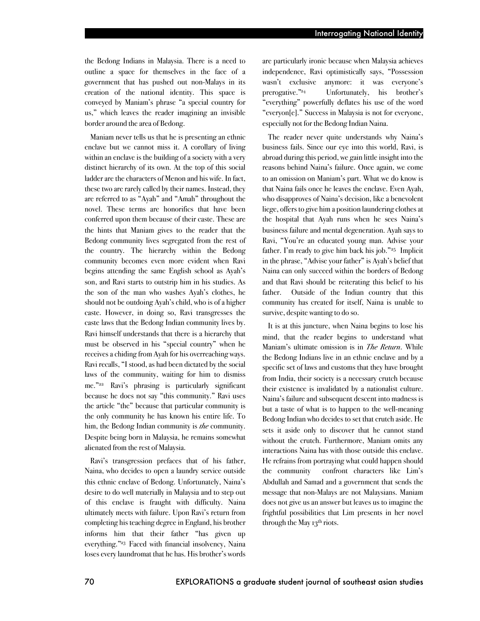the Bedong Indians in Malaysia. There is a need to outline a space for themselves in the face of a government that has pushed out non-Malays in its creation of the national identity. This space is conveyed by Maniam's phrase "a special country for us," which leaves the reader imagining an invisible border around the area of Bedong.

Maniam never tells us that he is presenting an ethnic enclave but we cannot miss it. A corollary of living within an enclave is the building of a society with a very distinct hierarchy of its own. At the top of this social ladder are the characters of Menon and his wife. In fact, these two are rarely called by their names. Instead, they are referred to as "Ayah" and "Amah" throughout the novel. These terms are honorifics that have been conferred upon them because of their caste. These are the hints that Maniam gives to the reader that the Bedong community lives segregated from the rest of the country. The hierarchy within the Bedong community becomes even more evident when Ravi begins attending the same English school as Ayah's son, and Ravi starts to outstrip him in his studies. As the son of the man who washes Ayah's clothes, he should not be outdoing Ayah's child, who is of a higher caste. However, in doing so, Ravi transgresses the caste laws that the Bedong Indian community lives by. Ravi himself understands that there is a hierarchy that must be observed in his "special country" when he receives a chiding from Ayah for his overreaching ways. Ravi recalls, "I stood, as had been dictated by the social laws of the community, waiting for him to dismiss me."22 Ravi's phrasing is particularly significant because he does not say "this community." Ravi uses the article "the" because that particular community is the only community he has known his entire life. To him, the Bedong Indian community is *the* community. Despite being born in Malaysia, he remains somewhat alienated from the rest of Malaysia.

Ravi's transgression prefaces that of his father, Naina, who decides to open a laundry service outside this ethnic enclave of Bedong. Unfortunately, Naina's desire to do well materially in Malaysia and to step out of this enclave is fraught with difficulty. Naina ultimately meets with failure. Upon Ravi's return from completing his teaching degree in England, his brother informs him that their father "has given up everything."23 Faced with financial insolvency, Naina loses every laundromat that he has. His brother's words

are particularly ironic because when Malaysia achieves independence, Ravi optimistically says, "Possession wasn't exclusive anymore: it was everyone's prerogative."24 Unfortunately, his brother's "everything" powerfully deflates his use of the word "everyon[e]." Success in Malaysia is not for everyone, especially not for the Bedong Indian Naina.

The reader never quite understands why Naina's business fails. Since our eye into this world, Ravi, is abroad during this period, we gain little insight into the reasons behind Naina's failure. Once again, we come to an omission on Maniam's part. What we do know is that Naina fails once he leaves the enclave. Even Ayah, who disapproves of Naina's decision, like a benevolent liege, offers to give him a position laundering clothes at the hospital that Ayah runs when he sees Naina's business failure and mental degeneration. Ayah says to Ravi, "You're an educated young man. Advise your father. I'm ready to give him back his job."25 Implicit in the phrase, "Advise your father" is Ayah's belief that Naina can only succeed within the borders of Bedong and that Ravi should be reiterating this belief to his father. Outside of the Indian country that this community has created for itself, Naina is unable to survive, despite wanting to do so.

It is at this juncture, when Naina begins to lose his mind, that the reader begins to understand what Maniam's ultimate omission is in *The Return*. While the Bedong Indians live in an ethnic enclave and by a specific set of laws and customs that they have brought from India, their society is a necessary crutch because their existence is invalidated by a nationalist culture. Naina's failure and subsequent descent into madness is but a taste of what is to happen to the well-meaning Bedong Indian who decides to set that crutch aside. He sets it aside only to discover that he cannot stand without the crutch. Furthermore, Maniam omits any interactions Naina has with those outside this enclave. He refrains from portraying what could happen should the community confront characters like Lim's Abdullah and Samad and a government that sends the message that non-Malays are not Malaysians. Maniam does not give us an answer but leaves us to imagine the frightful possibilities that Lim presents in her novel through the May  $13<sup>th</sup>$  riots.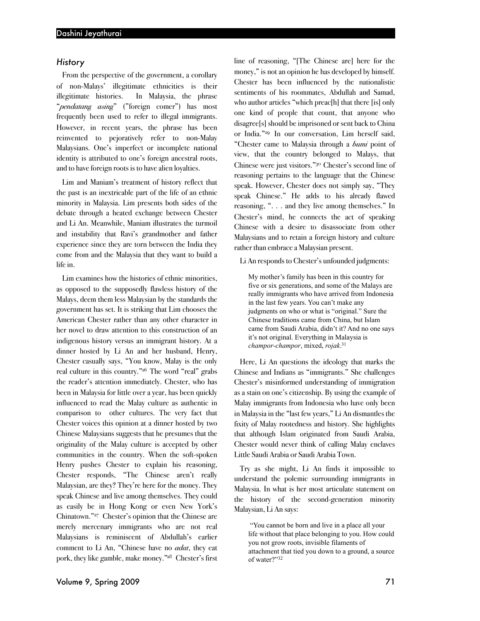## *History*

From the perspective of the government, a corollary of non-Malays' illegitimate ethnicities is their illegitimate histories. In Malaysia, the phrase "*pendatang asing*" ("foreign comer") has most frequently been used to refer to illegal immigrants. However, in recent years, the phrase has been reinvented to pejoratively refer to non-Malay Malaysians. One's imperfect or incomplete national identity is attributed to one's foreign ancestral roots, and to have foreign roots is to have alien loyalties.

Lim and Maniam's treatment of history reflect that the past is an inextricable part of the life of an ethnic minority in Malaysia. Lim presents both sides of the debate through a heated exchange between Chester and Li An. Meanwhile, Maniam illustrates the turmoil and instability that Ravi's grandmother and father experience since they are torn between the India they come from and the Malaysia that they want to build a life in.

Lim examines how the histories of ethnic minorities, as opposed to the supposedly flawless history of the Malays, deem them less Malaysian by the standards the government has set. It is striking that Lim chooses the American Chester rather than any other character in her novel to draw attention to this construction of an indigenous history versus an immigrant history. At a dinner hosted by Li An and her husband, Henry, Chester casually says, "You know, Malay is the only real culture in this country."26 The word "real" grabs the reader's attention immediately. Chester, who has been in Malaysia for little over a year, has been quickly influenced to read the Malay culture as authentic in comparison to other cultures. The very fact that Chester voices this opinion at a dinner hosted by two Chinese Malaysians suggests that he presumes that the originality of the Malay culture is accepted by other communities in the country. When the soft-spoken Henry pushes Chester to explain his reasoning, Chester responds, "The Chinese aren't really Malaysian, are they? They're here for the money. They speak Chinese and live among themselves. They could as easily be in Hong Kong or even New York's Chinatown."27 Chester's opinion that the Chinese are merely mercenary immigrants who are not real Malaysians is reminiscent of Abdullah's earlier comment to Li An, "Chinese have no *adat*, they eat pork, they like gamble, make money."28 Chester's first line of reasoning, "[The Chinese are] here for the money," is not an opinion he has developed by himself. Chester has been influenced by the nationalistic sentiments of his roommates, Abdullah and Samad, who author articles "which preac[h] that there [is] only one kind of people that count, that anyone who disagree[s] should be imprisoned or sent back to China or India."29 In our conversation, Lim herself said, "Chester came to Malaysia through a *bumi* point of view, that the country belonged to Malays, that Chinese were just visitors."30 Chester's second line of reasoning pertains to the language that the Chinese speak. However, Chester does not simply say, "They speak Chinese." He adds to his already flawed reasoning, ". . . and they live among themselves." In Chester's mind, he connects the act of speaking Chinese with a desire to disassociate from other Malaysians and to retain a foreign history and culture rather than embrace a Malaysian present.

#### Li An responds to Chester's unfounded judgments:

My mother's family has been in this country for five or six generations, and some of the Malays are really immigrants who have arrived from Indonesia in the last few years. You can't make any judgments on who or what is "original." Sure the Chinese traditions came from China, but Islam came from Saudi Arabia, didn't it? And no one says it's not original. Everything in Malaysia is *champor-champor*, mixed, *rojak*. 31

Here, Li An questions the ideology that marks the Chinese and Indians as "immigrants." She challenges Chester's misinformed understanding of immigration as a stain on one's citizenship. By using the example of Malay immigrants from Indonesia who have only been in Malaysiain the "last few years," Li An dismantles the fixity of Malay rootedness and history. She highlights that although Islam originated from Saudi Arabia, Chester would never think of calling Malay enclaves Little Saudi Arabia or Saudi Arabia Town.

Try as she might, Li An finds it impossible to understand the polemic surrounding immigrants in Malaysia. In what is her most articulate statement on the history of the second-generation minority Malaysian, Li An says:

 "You cannot be born and live in a place all your life without that place belonging to you. How could you not grow roots, invisible filaments of attachment that tied you down to a ground, a source of water?"32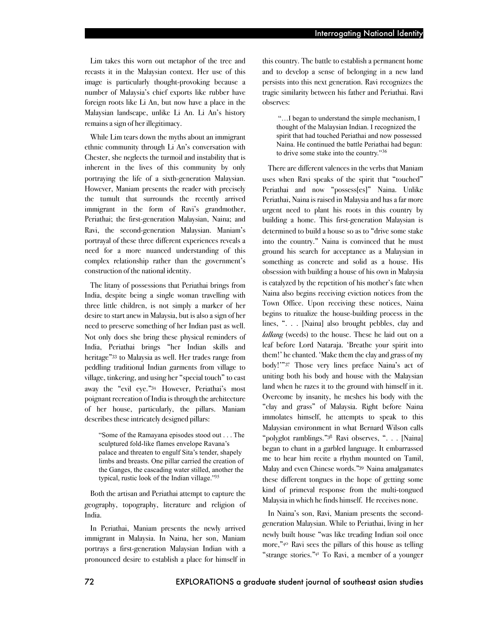Lim takes this worn out metaphor of the tree and recasts it in the Malaysian context. Her use of this image is particularly thought-provoking because a number of Malaysia's chief exports like rubber have foreign roots like Li An, but now have a place in the Malaysian landscape, unlike Li An. Li An's history remains a sign of her illegitimacy.

While Lim tears down the myths about an immigrant ethnic community through Li An's conversation with Chester, she neglects the turmoil and instability that is inherent in the lives of this community by only portraying the life of a sixth-generation Malaysian. However, Maniam presents the reader with precisely the tumult that surrounds the recently arrived immigrant in the form of Ravi's grandmother, Periathai; the first-generation Malaysian, Naina; and Ravi, the second-generation Malaysian. Maniam's portrayal of these three different experiences reveals a need for a more nuanced understanding of this complex relationship rather than the government's construction of the national identity.

The litany of possessions that Periathai brings from India, despite being a single woman travelling with three little children, is not simply a marker of her desire to start anew in Malaysia, but is also a sign of her need to preserve something of her Indian past as well. Not only does she bring these physical reminders of India, Periathai brings "her Indian skills and heritage"33 to Malaysia as well. Her trades range from peddling traditional Indian garments from village to village, tinkering, and using her "special touch" to cast away the "evil eye."34 However, Periathai's most poignant recreation of India is through the architecture of her house, particularly, the pillars. Maniam describes these intricately designed pillars:

"Some of the Ramayana episodes stood out . . . The sculptured fold-like flames envelope Ravana's palace and threaten to engulf Sita's tender, shapely limbs and breasts. One pillar carried the creation of the Ganges, the cascading water stilled, another the typical, rustic look of the Indian village."35

Both the artisan and Periathai attempt to capture the geography, topography, literature and religion of India.

In Periathai, Maniam presents the newly arrived immigrant in Malaysia. In Naina, her son, Maniam portrays a first-generation Malaysian Indian with a pronounced desire to establish a place for himself in this country. The battle to establish a permanent home and to develop a sense of belonging in a new land persists into this next generation. Ravi recognizes the tragic similarity between his father and Periathai. Ravi observes:

 "…I began to understand the simple mechanism, I thought of the Malaysian Indian. I recognized the spirit that had touched Periathai and now possessed Naina. He continued the battle Periathai had begun: to drive some stake into the country."36

There are different valences in the verbs that Maniam uses when Ravi speaks of the spirit that "touched" Periathai and now "possess[es]" Naina. Unlike Periathai, Naina is raised in Malaysia and has a far more urgent need to plant his roots in this country by building a home. This first-generation Malaysian is determined to build a house so as to "drive some stake into the country." Naina is convinced that he must ground his search for acceptance as a Malaysian in something as concrete and solid as a house. His obsession with building a house of his own in Malaysia is catalyzed by the repetition of his mother's fate when Naina also begins receiving eviction notices from the Town Office. Upon receiving these notices, Naina begins to ritualize the house-building process in the lines, ". . . [Naina] also brought pebbles, clay and *lallang* (weeds) to the house. These he laid out on a leaf before Lord Nataraja. 'Breathe your spirit into them!' he chanted. 'Make them the clay and grass of my body!'"37 Those very lines preface Naina's act of uniting both his body and house with the Malaysian land when he razes it to the ground with himself in it. Overcome by insanity, he meshes his body with the "clay and grass" of Malaysia. Right before Naina immolates himself, he attempts to speak to this Malaysian environment in what Bernard Wilson calls "polyglot ramblings."38 Ravi observes, ". . . [Naina] began to chant in a garbled language. It embarrassed me to hear him recite a rhythm mounted on Tamil, Malay and even Chinese words."39 Naina amalgamates these different tongues in the hope of getting some kind of primeval response from the multi-tongued Malaysia in which he finds himself. He receives none.

In Naina's son, Ravi, Maniam presents the secondgeneration Malaysian. While to Periathai, living in her newly built house "was like treading Indian soil once more,"40 Ravi sees the pillars of this house as telling "strange stories."41 To Ravi, a member of a younger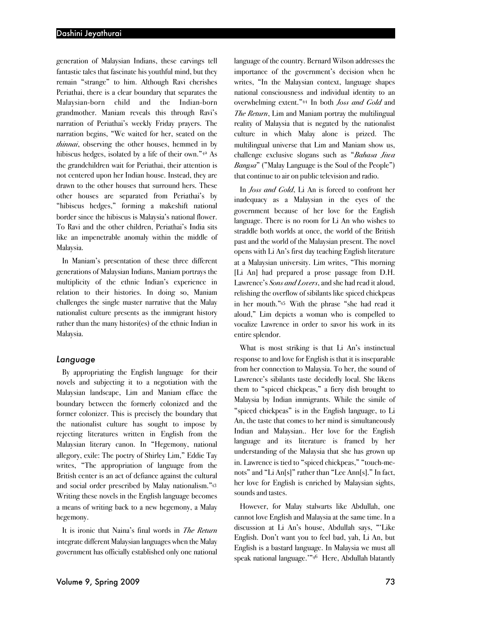generation of Malaysian Indians, these carvings tell fantastic tales that fascinate his youthful mind, but they remain "strange" to him. Although Ravi cherishes Periathai, there is a clear boundary that separates the Malaysian-born child and the Indian-born grandmother. Maniam reveals this through Ravi's narration of Periathai's weekly Friday prayers. The narration begins, "We waited for her, seated on the *thinnai*, observing the other houses, hemmed in by hibiscus hedges, isolated by a life of their own."42 As the grandchildren wait for Periathai, their attention is not centered upon her Indian house. Instead, they are drawn to the other houses that surround hers. These other houses are separated from Periathai's by "hibiscus hedges," forming a makeshift national border since the hibiscus is Malaysia's national flower. To Ravi and the other children, Periathai's India sits like an impenetrable anomaly within the middle of Malaysia.

In Maniam's presentation of these three different generations of Malaysian Indians, Maniam portrays the multiplicity of the ethnic Indian's experience in relation to their histories. In doing so, Maniam challenges the single master narrative that the Malay nationalist culture presents as the immigrant history rather than the many histori(es) of the ethnic Indian in Malaysia.

### *Language*

By appropriating the English language for their novels and subjecting it to a negotiation with the Malaysian landscape, Lim and Maniam efface the boundary between the formerly colonized and the former colonizer. This is precisely the boundary that the nationalist culture has sought to impose by rejecting literatures written in English from the Malaysian literary canon. In "Hegemony, national allegory, exile: The poetry of Shirley Lim," Eddie Tay writes, "The appropriation of language from the British center is an act of defiance against the cultural and social order prescribed by Malay nationalism."43 Writing these novels in the English language becomes a means of writing back to a new hegemony, a Malay hegemony.

It is ironic that Naina's final words in *The Return* integrate different Malaysian languages when the Malay government has officially established only one national

language of the country. Bernard Wilson addresses the importance of the government's decision when he writes, "In the Malaysian context, language shapes national consciousness and individual identity to an overwhelming extent."44 In both *Joss and Gold* and *The Return*, Lim and Maniam portray the multilingual reality of Malaysia that is negated by the nationalist culture in which Malay alone is prized. The multilingual universe that Lim and Maniam show us, challenge exclusive slogans such as "*Bahasa Jiwa Bangsa*" ("Malay Language is the Soul of the People") that continue to air on public television and radio.

In *Joss and Gold*, Li An is forced to confront her inadequacy as a Malaysian in the eyes of the government because of her love for the English language. There is no room for Li An who wishes to straddle both worlds at once, the world of the British past and the world of the Malaysian present. The novel opens with Li An's first day teaching English literature at a Malaysian university. Lim writes, "This morning [Li An] had prepared a prose passage from D.H. Lawrence's *Sons and Lovers*, and she had read it aloud, relishing the overflow of sibilants like spiced chickpeas in her mouth."45 With the phrase "she had read it aloud," Lim depicts a woman who is compelled to vocalize Lawrence in order to savor his work in its entire splendor.

What is most striking is that Li An's instinctual response to and love for English is that it is inseparable from her connection to Malaysia. To her, the sound of Lawrence's sibilants taste decidedly local. She likens them to "spiced chickpeas," a fiery dish brought to Malaysia by Indian immigrants. While the simile of "spiced chickpeas" is in the English language, to Li An, the taste that comes to her mind is simultaneously Indian and Malaysian.. Her love for the English language and its literature is framed by her understanding of the Malaysia that she has grown up in. Lawrence is tied to "spiced chickpeas," "touch-menots" and "Li An[s]" rather than "Lee Ann[s]." In fact, her love for English is enriched by Malaysian sights, sounds and tastes.

However, for Malay stalwarts like Abdullah, one cannot love English and Malaysia at the same time. In a discussion at Li An's house, Abdullah says, "'Like English. Don't want you to feel bad, yah, Li An, but English is a bastard language. In Malaysia we must all speak national language.'"46 Here, Abdullah blatantly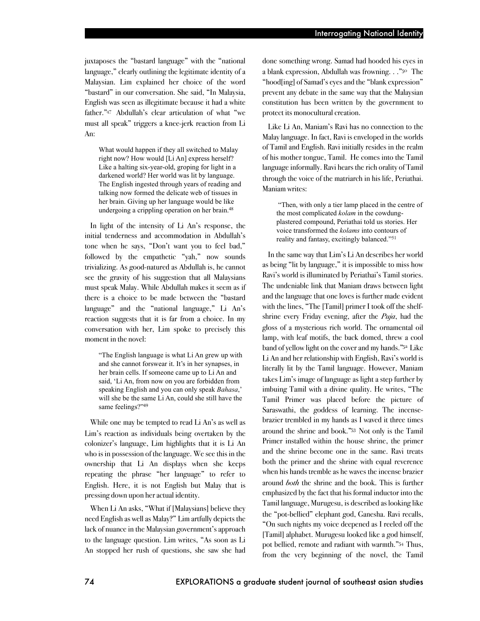juxtaposes the "bastard language" with the "national language," clearly outlining the legitimate identity of a Malaysian. Lim explained her choice of the word "bastard" in our conversation. She said, "In Malaysia, English was seen as illegitimate because it had a white father."47 Abdullah's clear articulation of what "we must all speak" triggers a knee-jerk reaction from Li An:

What would happen if they all switched to Malay right now? How would [Li An] express herself? Like a halting six-year-old, groping for light in a darkened world? Her world was lit by language. The English ingested through years of reading and talking now formed the delicate web of tissues in her brain. Giving up her language would be like undergoing a crippling operation on her brain.48

In light of the intensity of Li An's response, the initial tenderness and accommodation in Abdullah's tone when he says, "Don't want you to feel bad," followed by the empathetic "yah," now sounds trivializing. As good-natured as Abdullah is, he cannot see the gravity of his suggestion that all Malaysians must speak Malay. While Abdullah makes it seem as if there is a choice to be made between the "bastard language" and the "national language," Li An's reaction suggests that it is far from a choice. In my conversation with her, Lim spoke to precisely this moment in the novel:

"The English language is what Li An grew up with and she cannot forswear it. It's in her synapses, in her brain cells. If someone came up to Li An and said, 'Li An, from now on you are forbidden from speaking English and you can only speak *Bahasa*,' will she be the same Li An, could she still have the same feelings?"49

While one may be tempted to read Li An's as well as Lim's reaction as individuals being overtaken by the colonizer's language, Lim highlights that it is Li An who is in possession of the language. We see this in the ownership that Li An displays when she keeps repeating the phrase "her language" to refer to English. Here, it is not English but Malay that is pressing down upon her actual identity.

When Li An asks, "What if [Malaysians] believe they need English as well as Malay?" Lim artfully depicts the lack of nuance in the Malaysian government's approach to the language question. Lim writes, "As soon as Li An stopped her rush of questions, she saw she had done something wrong. Samad had hooded his eyes in a blank expression, Abdullah was frowning. . ."50 The "hood[ing] of Samad's eyes and the "blank expression" prevent any debate in the same way that the Malaysian constitution has been written by the government to protect its monocultural creation.

Like Li An, Maniam's Ravi has no connection to the Malay language. In fact, Ravi is enveloped in the worlds of Tamil and English. Ravi initially resides in the realm of his mother tongue, Tamil. He comes into the Tamil language informally. Ravi hears the rich orality of Tamil through the voice of the matriarch in his life, Periathai. Maniam writes:

 "Then, with only a tier lamp placed in the centre of the most complicated *kolam* in the cowdungplastered compound, Periathai told us stories. Her voice transformed the *kolams* into contours of reality and fantasy, excitingly balanced."51

In the same way that Lim's Li An describes her world as being "lit by language," it is impossible to miss how Ravi's world is illuminated by Periathai's Tamil stories. The undeniable link that Maniam draws between light and the language that one loves is further made evident with the lines, "The [Tamil] primer I took off the shelfshrine every Friday evening, after the *Puja*, had the gloss of a mysterious rich world. The ornamental oil lamp, with leaf motifs, the back domed, threw a cool band of yellow light on the coverand my hands."52 Like Li An and her relationship with English, Ravi's world is literally lit by the Tamil language. However, Maniam takes Lim's image of language as light a step further by imbuing Tamil with a divine quality. He writes, "The Tamil Primer was placed before the picture of Saraswathi, the goddess of learning. The incensebrazier trembled in my hands as I waved it three times around the shrine and book."53 Not only is the Tamil Primer installed within the house shrine, the primer and the shrine become one in the same. Ravi treats both the primer and the shrine with equal reverence when his hands tremble as he waves the incense brazier around *both* the shrine and the book. This is further emphasized by the fact that his formal inductor into the Tamil language, Murugesu, is described as looking like the "pot-bellied" elephant god, Ganesha. Ravi recalls, "On such nights my voice deepened as I reeled off the [Tamil] alphabet. Murugesu looked like a god himself, pot bellied, remote and radiant with warmth."54 Thus, from the very beginning of the novel, the Tamil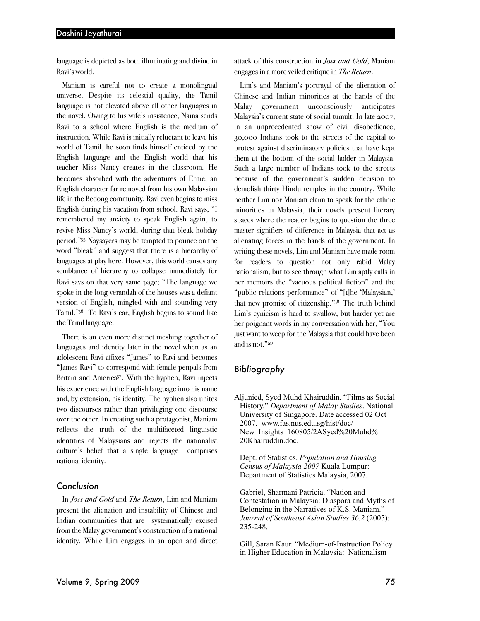language is depicted as both illuminating and divine in Ravi's world.

Maniam is careful not to create a monolingual universe. Despite its celestial quality, the Tamil language is not elevated above all other languages in the novel. Owing to his wife's insistence, Naina sends Ravi to a school where English is the medium of instruction. While Ravi is initially reluctant to leave his world of Tamil, he soon finds himself enticed by the English language and the English world that his teacher Miss Nancy creates in the classroom. He becomes absorbed with the adventures of Ernie, an English character far removed from his own Malaysian life in the Bedong community. Ravi even begins to miss English during his vacation from school. Ravi says, "I remembered my anxiety to speak English again, to revive Miss Nancy's world, during that bleak holiday period."55 Naysayers may be tempted to pounce on the word "bleak" and suggest that there is a hierarchy of languages at play here. However, this world causes any semblance of hierarchy to collapse immediately for Ravi says on that very same page; "The language we spoke in the long verandah of the houses was a defiant version of English, mingled with and sounding very Tamil."56 To Ravi's ear, English begins to sound like the Tamil language.

There is an even more distinct meshing together of languages and identity later in the novel when as an adolescent Ravi affixes "James" to Ravi and becomes "James-Ravi" to correspond with female penpals from Britain and America<sup>57</sup>. With the hyphen, Ravi injects his experience with the English language into his name and, by extension, his identity. The hyphen also unites two discourses rather than privileging one discourse over the other. In creating such a protagonist, Maniam reflects the truth of the multifaceted linguistic identities of Malaysians and rejects the nationalist culture's belief that a single language comprises national identity.

# *Conclusion*

In *Joss and Gold* and *The Return*, Lim and Maniam present the alienation and instability of Chinese and Indian communities that are systematically excised from the Malay government's construction of a national identity. While Lim engages in an open and direct attack of this construction in *Joss and Gold*, Maniam engages in a more veiled critique in *The Return*.

Lim's and Maniam's portrayal of the alienation of Chinese and Indian minorities at the hands of the Malay government unconsciously anticipates Malaysia's current state of social tumult. In late 2007, in an unprecedented show of civil disobedience, 30,000 Indians took to the streets of the capital to protest against discriminatory policies that have kept them at the bottom of the social ladder in Malaysia. Such a large number of Indians took to the streets because of the government's sudden decision to demolish thirty Hindu temples in the country. While neither Lim nor Maniam claim to speak for the ethnic minorities in Malaysia, their novels present literary spaces where the reader begins to question the three master signifiers of difference in Malaysia that act as alienating forces in the hands of the government. In writing these novels, Lim and Maniam have made room for readers to question not only rabid Malay nationalism, but to see through what Lim aptly calls in her memoirs the "vacuous political fiction" and the "public relations performance" of "[t]he 'Malaysian,' that new promise of citizenship."58 The truth behind Lim's cynicism is hard to swallow, but harder yet are her poignant words in my conversation with her, "You just want to weep for the Malaysia that could have been and is not."59

# *Bibliography*

Aljunied, Syed Muhd Khairuddin. "Films as Social History." *Department of Malay Studies*. National University of Singapore. Date accessed 02 Oct 2007. www.fas.nus.edu.sg/hist/doc/ New Insights  $160805/2$ ASyed%20Muhd% 20Khairuddin.doc.

Dept. of Statistics. *Population and Housing Census of Malaysia 2007* Kuala Lumpur: Department of Statistics Malaysia, 2007.

Gabriel, Sharmani Patricia. "Nation and Contestation in Malaysia: Diaspora and Myths of Belonging in the Narratives of K.S. Maniam." *Journal of Southeast Asian Studies 36.2* (2005): 235-248.

Gill, Saran Kaur. "Medium-of-Instruction Policy in Higher Education in Malaysia: Nationalism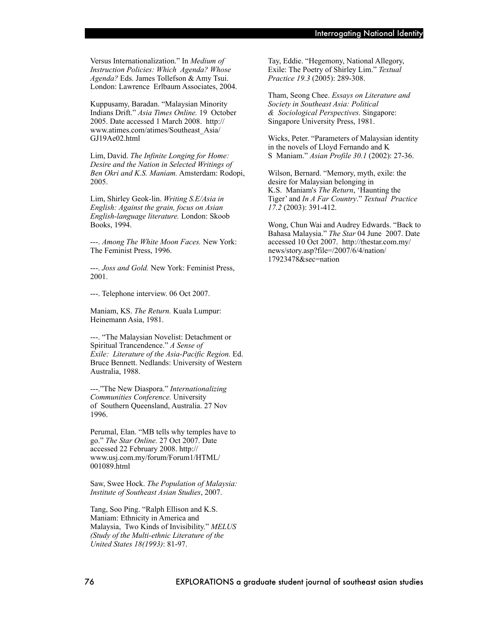Versus Internationalization." In *Medium of Instruction Policies: Which Agenda? Whose Agenda?* Eds. James Tollefson & Amy Tsui. London: Lawrence Erlbaum Associates, 2004.

Kuppusamy, Baradan. "Malaysian Minority Indians Drift." *Asia Times Online.* 19 October 2005. Date accessed 1 March 2008. http:// www.atimes.com/atimes/Southeast\_Asia/ GJ19Ae02.html

Lim, David. *The Infinite Longing for Home: Desire and the Nation in Selected Writings of Ben Okri and K.S. Maniam.* Amsterdam: Rodopi, 2005.

Lim, Shirley Geok-lin. *Writing S.E/Asia in English: Against the grain, focus on Asian English-language literature.* London: Skoob Books, 1994.

---. *Among The White Moon Faces.* New York: The Feminist Press, 1996.

---. *Joss and Gold.* New York: Feminist Press, 2001.

---. Telephone interview. 06 Oct 2007.

Maniam, KS. *The Return.* Kuala Lumpur: Heinemann Asia, 1981.

---. "The Malaysian Novelist: Detachment or Spiritual Trancendence." *A Sense of Exile: Literature of the Asia-Pacific Region.* Ed. Bruce Bennett. Nedlands: University of Western Australia, 1988.

---."The New Diaspora." *Internationalizing Communities Conference.* University of Southern Queensland, Australia. 27 Nov 1996.

Perumal, Elan. "MB tells why temples have to go." *The Star Online.* 27 Oct 2007. Date accessed 22 February 2008. http:// www.usj.com.my/forum/Forum1/HTML/ 001089.html

Saw, Swee Hock. *The Population of Malaysia: Institute of Southeast Asian Studies*, 2007.

Tang, Soo Ping. "Ralph Ellison and K.S. Maniam: Ethnicity in America and Malaysia, Two Kinds of Invisibility." *MELUS (Study of the Multi-ethnic Literature of the United States 18(1993)*: 81-97.

Tay, Eddie. "Hegemony, National Allegory, Exile: The Poetry of Shirley Lim." *Textual Practice 19.3* (2005): 289-308.

Tham, Seong Chee. *Essays on Literature and Society in Southeast Asia: Political & Sociological Perspectives.* Singapore: Singapore University Press, 1981.

Wicks, Peter. "Parameters of Malaysian identity in the novels of Lloyd Fernando and K S Maniam." *Asian Profile 30.1* (2002): 27-36.

Wilson, Bernard. "Memory, myth, exile: the desire for Malaysian belonging in K.S. Maniam's *The Return*, 'Haunting the Tiger' and *In A Far Country*." *Textual Practice 17.2* (2003): 391-412.

Wong, Chun Wai and Audrey Edwards. "Back to Bahasa Malaysia." *The Star* 04 June 2007. Date accessed 10 Oct 2007. http://thestar.com.my/ news/story.asp?file=/2007/6/4/nation/ 17923478&sec=nation